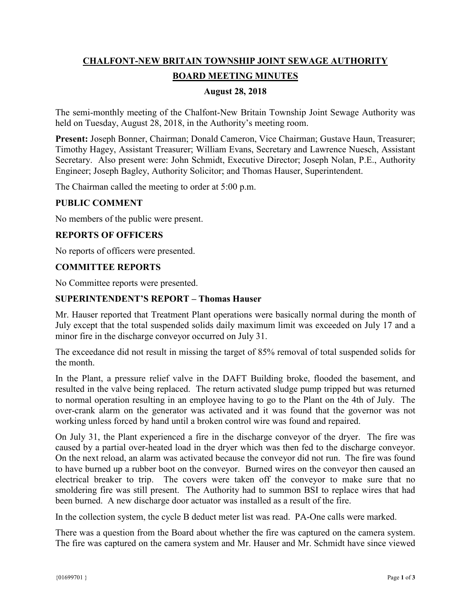# **CHALFONT-NEW BRITAIN TOWNSHIP JOINT SEWAGE AUTHORITY BOARD MEETING MINUTES**

### **August 28, 2018**

The semi-monthly meeting of the Chalfont-New Britain Township Joint Sewage Authority was held on Tuesday, August 28, 2018, in the Authority's meeting room.

**Present:** Joseph Bonner, Chairman; Donald Cameron, Vice Chairman; Gustave Haun, Treasurer; Timothy Hagey, Assistant Treasurer; William Evans, Secretary and Lawrence Nuesch, Assistant Secretary. Also present were: John Schmidt, Executive Director; Joseph Nolan, P.E., Authority Engineer; Joseph Bagley, Authority Solicitor; and Thomas Hauser, Superintendent.

The Chairman called the meeting to order at 5:00 p.m.

#### **PUBLIC COMMENT**

No members of the public were present.

#### **REPORTS OF OFFICERS**

No reports of officers were presented.

#### **COMMITTEE REPORTS**

No Committee reports were presented.

#### **SUPERINTENDENT'S REPORT – Thomas Hauser**

Mr. Hauser reported that Treatment Plant operations were basically normal during the month of July except that the total suspended solids daily maximum limit was exceeded on July 17 and a minor fire in the discharge conveyor occurred on July 31.

The exceedance did not result in missing the target of 85% removal of total suspended solids for the month.

In the Plant, a pressure relief valve in the DAFT Building broke, flooded the basement, and resulted in the valve being replaced. The return activated sludge pump tripped but was returned to normal operation resulting in an employee having to go to the Plant on the 4th of July. The over-crank alarm on the generator was activated and it was found that the governor was not working unless forced by hand until a broken control wire was found and repaired.

On July 31, the Plant experienced a fire in the discharge conveyor of the dryer. The fire was caused by a partial over-heated load in the dryer which was then fed to the discharge conveyor. On the next reload, an alarm was activated because the conveyor did not run. The fire was found to have burned up a rubber boot on the conveyor. Burned wires on the conveyor then caused an electrical breaker to trip. The covers were taken off the conveyor to make sure that no smoldering fire was still present. The Authority had to summon BSI to replace wires that had been burned. A new discharge door actuator was installed as a result of the fire.

In the collection system, the cycle B deduct meter list was read. PA-One calls were marked.

There was a question from the Board about whether the fire was captured on the camera system. The fire was captured on the camera system and Mr. Hauser and Mr. Schmidt have since viewed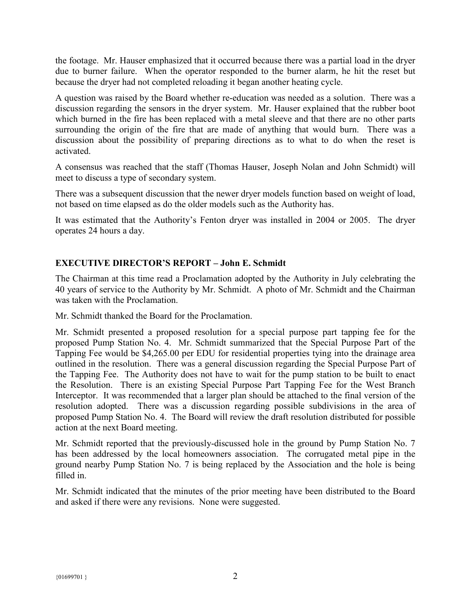the footage. Mr. Hauser emphasized that it occurred because there was a partial load in the dryer due to burner failure. When the operator responded to the burner alarm, he hit the reset but because the dryer had not completed reloading it began another heating cycle.

A question was raised by the Board whether re-education was needed as a solution. There was a discussion regarding the sensors in the dryer system. Mr. Hauser explained that the rubber boot which burned in the fire has been replaced with a metal sleeve and that there are no other parts surrounding the origin of the fire that are made of anything that would burn. There was a discussion about the possibility of preparing directions as to what to do when the reset is activated.

A consensus was reached that the staff (Thomas Hauser, Joseph Nolan and John Schmidt) will meet to discuss a type of secondary system.

There was a subsequent discussion that the newer dryer models function based on weight of load, not based on time elapsed as do the older models such as the Authority has.

It was estimated that the Authority's Fenton dryer was installed in 2004 or 2005. The dryer operates 24 hours a day.

# **EXECUTIVE DIRECTOR'S REPORT – John E. Schmidt**

The Chairman at this time read a Proclamation adopted by the Authority in July celebrating the 40 years of service to the Authority by Mr. Schmidt. A photo of Mr. Schmidt and the Chairman was taken with the Proclamation.

Mr. Schmidt thanked the Board for the Proclamation.

Mr. Schmidt presented a proposed resolution for a special purpose part tapping fee for the proposed Pump Station No. 4. Mr. Schmidt summarized that the Special Purpose Part of the Tapping Fee would be \$4,265.00 per EDU for residential properties tying into the drainage area outlined in the resolution. There was a general discussion regarding the Special Purpose Part of the Tapping Fee. The Authority does not have to wait for the pump station to be built to enact the Resolution. There is an existing Special Purpose Part Tapping Fee for the West Branch Interceptor. It was recommended that a larger plan should be attached to the final version of the resolution adopted. There was a discussion regarding possible subdivisions in the area of proposed Pump Station No. 4. The Board will review the draft resolution distributed for possible action at the next Board meeting.

Mr. Schmidt reported that the previously-discussed hole in the ground by Pump Station No. 7 has been addressed by the local homeowners association. The corrugated metal pipe in the ground nearby Pump Station No. 7 is being replaced by the Association and the hole is being filled in.

Mr. Schmidt indicated that the minutes of the prior meeting have been distributed to the Board and asked if there were any revisions. None were suggested.